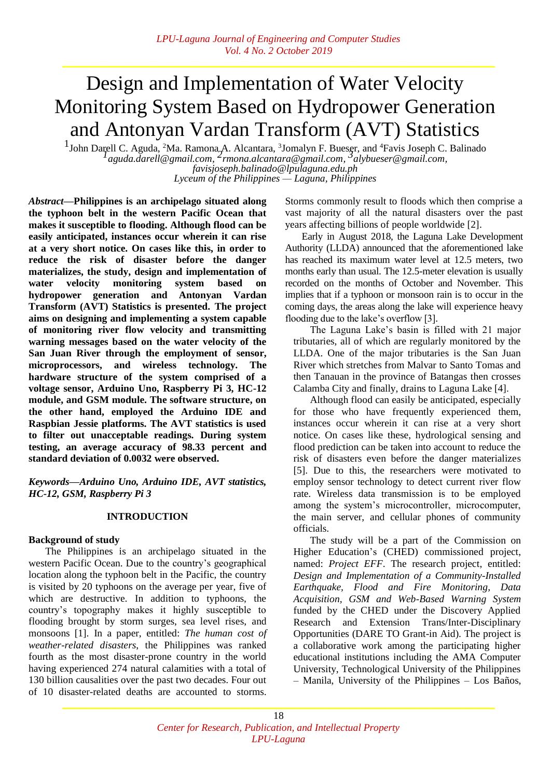# Design and Implementation of Water Velocity Monitoring System Based on Hydropower Generation and Antonyan Vardan Transform (AVT) Statistics

<sup>1</sup>John Darell C. Aguda, <sup>2</sup>Ma. Ramona A. Alcantara, <sup>3</sup>Jomalyn F. Bueser, and <sup>4</sup>Favis Joseph C. Balinado *[aguda.darell@gmail.com,](mailto:aguda.darell@gmail.com)  rmona.alcantara@gmail.com, [alybueser@gmail.com,](mailto:alybueser@gmail.com%20Tel:+639950065275) [favisjoseph.balinado@lpulaguna.edu.ph](mailto:favisjoseph.balinado@lpulaguna.edu.ph) Lyceum of the Philippines — Laguna, Philippines*

*Abstract***—Philippines is an archipelago situated along the typhoon belt in the western Pacific Ocean that makes it susceptible to flooding. Although flood can be easily anticipated, instances occur wherein it can rise at a very short notice. On cases like this, in order to reduce the risk of disaster before the danger materializes, the study, design and implementation of water velocity monitoring system based on hydropower generation and Antonyan Vardan Transform (AVT) Statistics is presented. The project aims on designing and implementing a system capable of monitoring river flow velocity and transmitting warning messages based on the water velocity of the San Juan River through the employment of sensor, microprocessors, and wireless technology. The hardware structure of the system comprised of a voltage sensor, Arduino Uno, Raspberry Pi 3, HC-12 module, and GSM module. The software structure, on the other hand, employed the Arduino IDE and Raspbian Jessie platforms. The AVT statistics is used to filter out unacceptable readings. During system testing, an average accuracy of 98.33 percent and standard deviation of 0.0032 were observed.**

*Keywords—Arduino Uno, Arduino IDE, AVT statistics, HC-12, GSM, Raspberry Pi 3*

## **INTRODUCTION**

#### **Background of study**

The Philippines is an archipelago situated in the western Pacific Ocean. Due to the country's geographical location along the typhoon belt in the Pacific, the country is visited by 20 typhoons on the average per year, five of which are destructive. In addition to typhoons, the country's topography makes it highly susceptible to flooding brought by storm surges, sea level rises, and monsoons [1]. In a paper, entitled: *The human cost of weather-related disasters*, the Philippines was ranked fourth as the most disaster-prone country in the world having experienced 274 natural calamities with a total of 130 billion causalities over the past two decades. Four out of 10 disaster-related deaths are accounted to storms.

Storms commonly result to floods which then comprise a vast majority of all the natural disasters over the past years affecting billions of people worldwide [2].

Early in August 2018, the Laguna Lake Development Authority (LLDA) announced that the aforementioned lake has reached its maximum water level at 12.5 meters, two months early than usual. The 12.5-meter elevation is usually recorded on the months of October and November. This implies that if a typhoon or monsoon rain is to occur in the coming days, the areas along the lake will experience heavy flooding due to the lake's overflow [3].

The Laguna Lake's basin is filled with 21 major tributaries, all of which are regularly monitored by the LLDA. One of the major tributaries is the San Juan River which stretches from Malvar to Santo Tomas and then Tanauan in the province of Batangas then crosses Calamba City and finally, drains to Laguna Lake [4].

Although flood can easily be anticipated, especially for those who have frequently experienced them, instances occur wherein it can rise at a very short notice. On cases like these, hydrological sensing and flood prediction can be taken into account to reduce the risk of disasters even before the danger materializes [5]. Due to this, the researchers were motivated to employ sensor technology to detect current river flow rate. Wireless data transmission is to be employed among the system's microcontroller, microcomputer, the main server, and cellular phones of community officials.

The study will be a part of the Commission on Higher Education's (CHED) commissioned project, named: *Project EFF*. The research project, entitled: *Design and Implementation of a Community-Installed Earthquake, Flood and Fire Monitoring, Data Acquisition, GSM and Web-Based Warning System* funded by the CHED under the Discovery Applied Research and Extension Trans/Inter-Disciplinary Opportunities (DARE TO Grant-in Aid). The project is a collaborative work among the participating higher educational institutions including the AMA Computer University, Technological University of the Philippines – Manila, University of the Philippines – Los Baños,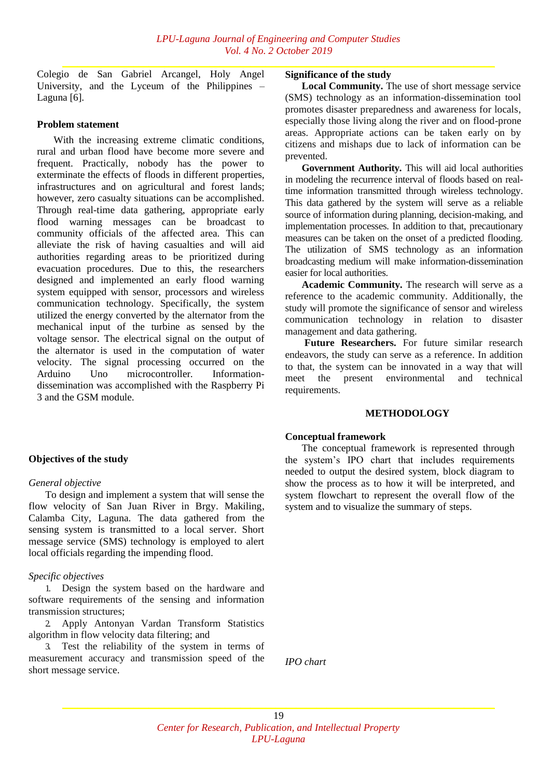Colegio de San Gabriel Arcangel, Holy Angel University, and the Lyceum of the Philippines – Laguna [6].

## **Problem statement**

With the increasing extreme climatic conditions, rural and urban flood have become more severe and frequent. Practically, nobody has the power to exterminate the effects of floods in different properties, infrastructures and on agricultural and forest lands; however, zero casualty situations can be accomplished. Through real-time data gathering, appropriate early flood warning messages can be broadcast to community officials of the affected area. This can alleviate the risk of having casualties and will aid authorities regarding areas to be prioritized during evacuation procedures. Due to this, the researchers designed and implemented an early flood warning system equipped with sensor, processors and wireless communication technology. Specifically, the system utilized the energy converted by the alternator from the mechanical input of the turbine as sensed by the voltage sensor. The electrical signal on the output of the alternator is used in the computation of water velocity. The signal processing occurred on the Arduino Uno microcontroller. Informationdissemination was accomplished with the Raspberry Pi 3 and the GSM module.

# **Objectives of the study**

## *General objective*

To design and implement a system that will sense the flow velocity of San Juan River in Brgy. Makiling, Calamba City, Laguna. The data gathered from the sensing system is transmitted to a local server. Short message service (SMS) technology is employed to alert local officials regarding the impending flood.

## *Specific objectives*

1. Design the system based on the hardware and software requirements of the sensing and information transmission structures;

2. Apply Antonyan Vardan Transform Statistics algorithm in flow velocity data filtering; and

3. Test the reliability of the system in terms of measurement accuracy and transmission speed of the short message service.

#### **Significance of the study**

**Local Community.** The use of short message service (SMS) technology as an information-dissemination tool promotes disaster preparedness and awareness for locals, especially those living along the river and on flood-prone areas. Appropriate actions can be taken early on by citizens and mishaps due to lack of information can be prevented.

**Government Authority.** This will aid local authorities in modeling the recurrence interval of floods based on realtime information transmitted through wireless technology. This data gathered by the system will serve as a reliable source of information during planning, decision-making, and implementation processes. In addition to that, precautionary measures can be taken on the onset of a predicted flooding. The utilization of SMS technology as an information broadcasting medium will make information-dissemination easier for local authorities.

**Academic Community.** The research will serve as a reference to the academic community. Additionally, the study will promote the significance of sensor and wireless communication technology in relation to disaster management and data gathering.

**Future Researchers.** For future similar research endeavors, the study can serve as a reference. In addition to that, the system can be innovated in a way that will meet the present environmental and technical requirements.

## **METHODOLOGY**

## **Conceptual framework**

The conceptual framework is represented through the system's IPO chart that includes requirements needed to output the desired system, block diagram to show the process as to how it will be interpreted, and system flowchart to represent the overall flow of the system and to visualize the summary of steps.

*IPO chart*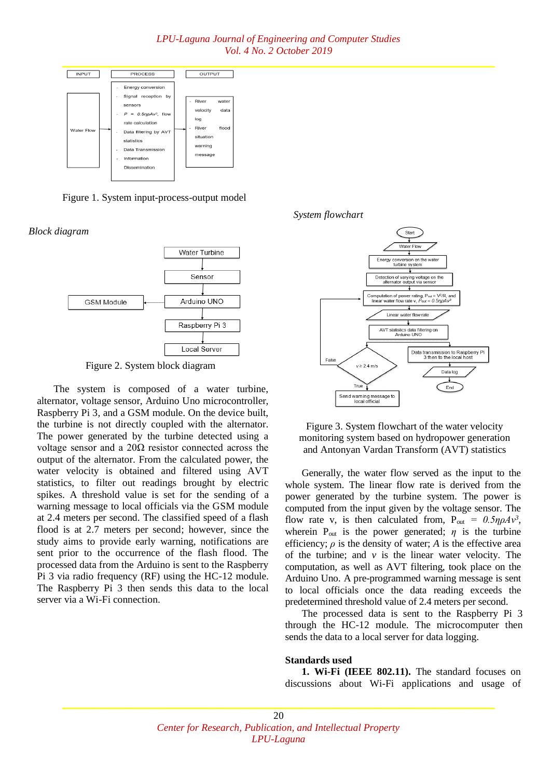

Figure 1. System input-process-output model

*Block diagram*



Figure 2. System block diagram

The system is composed of a water turbine, alternator, voltage sensor, Arduino Uno microcontroller, Raspberry Pi 3, and a GSM module. On the device built, the turbine is not directly coupled with the alternator. The power generated by the turbine detected using a voltage sensor and a 20Ω resistor connected across the output of the alternator. From the calculated power, the water velocity is obtained and filtered using AVT statistics, to filter out readings brought by electric spikes. A threshold value is set for the sending of a warning message to local officials via the GSM module at 2.4 meters per second. The classified speed of a flash flood is at 2.7 meters per second; however, since the study aims to provide early warning, notifications are sent prior to the occurrence of the flash flood. The processed data from the Arduino is sent to the Raspberry Pi 3 via radio frequency (RF) using the HC-12 module. The Raspberry Pi 3 then sends this data to the local server via a Wi-Fi connection.



Figure 3. System flowchart of the water velocity monitoring system based on hydropower generation and Antonyan Vardan Transform (AVT) statistics

Generally, the water flow served as the input to the whole system. The linear flow rate is derived from the power generated by the turbine system. The power is computed from the input given by the voltage sensor. The flow rate v, is then calculated from,  $P_{out} = 0.5\eta\rho A v^3$ , wherein  $P_{out}$  is the power generated;  $\eta$  is the turbine efficiency;  $\rho$  is the density of water; *A* is the effective area of the turbine; and  $v$  is the linear water velocity. The computation, as well as AVT filtering, took place on the Arduino Uno. A pre-programmed warning message is sent to local officials once the data reading exceeds the predetermined threshold value of 2.4 meters per second.

The processed data is sent to the Raspberry Pi 3 through the HC-12 module. The microcomputer then sends the data to a local server for data logging.

#### **Standards used**

**1. Wi-Fi (IEEE 802.11).** The standard focuses on discussions about Wi-Fi applications and usage of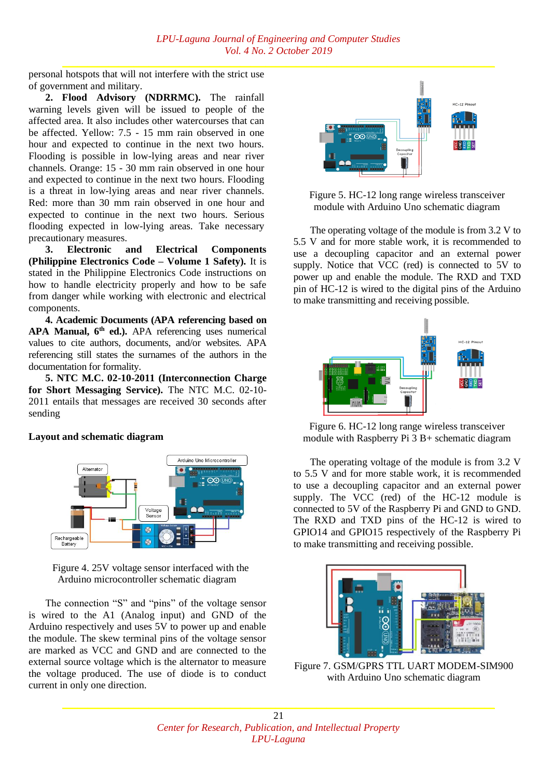personal hotspots that will not interfere with the strict use of government and military.

**2. Flood Advisory (NDRRMC).** The rainfall warning levels given will be issued to people of the affected area. It also includes other watercourses that can be affected. Yellow: 7.5 - 15 mm rain observed in one hour and expected to continue in the next two hours. Flooding is possible in low-lying areas and near river channels. Orange: 15 - 30 mm rain observed in one hour and expected to continue in the next two hours. Flooding is a threat in low-lying areas and near river channels. Red: more than 30 mm rain observed in one hour and expected to continue in the next two hours. Serious flooding expected in low-lying areas. Take necessary precautionary measures.

**3. Electronic and Electrical Components (Philippine Electronics Code – Volume 1 Safety).** It is stated in the Philippine Electronics Code instructions on how to handle electricity properly and how to be safe from danger while working with electronic and electrical components.

**4. Academic Documents (APA referencing based on APA Manual, 6th ed.).** APA referencing uses numerical values to cite authors, documents, and/or websites. APA referencing still states the surnames of the authors in the documentation for formality.

**5. NTC M.C. 02-10-2011 (Interconnection Charge for Short Messaging Service).** The NTC M.C. 02-10- 2011 entails that messages are received 30 seconds after sending

# **Layout and schematic diagram**



Figure 4. 25V voltage sensor interfaced with the Arduino microcontroller schematic diagram

The connection "S" and "pins" of the voltage sensor is wired to the A1 (Analog input) and GND of the Arduino respectively and uses 5V to power up and enable the module. The skew terminal pins of the voltage sensor are marked as VCC and GND and are connected to the external source voltage which is the alternator to measure the voltage produced. The use of diode is to conduct current in only one direction.



Figure 5. HC-12 long range wireless transceiver module with Arduino Uno schematic diagram

The operating voltage of the module is from 3.2 V to 5.5 V and for more stable work, it is recommended to use a decoupling capacitor and an external power supply. Notice that VCC (red) is connected to 5V to power up and enable the module. The RXD and TXD pin of HC-12 is wired to the digital pins of the Arduino to make transmitting and receiving possible.



Figure 6. HC-12 long range wireless transceiver module with Raspberry Pi 3 B+ schematic diagram

The operating voltage of the module is from 3.2 V to 5.5 V and for more stable work, it is recommended to use a decoupling capacitor and an external power supply. The VCC (red) of the HC-12 module is connected to 5V of the Raspberry Pi and GND to GND. The RXD and TXD pins of the HC-12 is wired to GPIO14 and GPIO15 respectively of the Raspberry Pi to make transmitting and receiving possible.



Figure 7. GSM/GPRS TTL UART MODEM-SIM900 with Arduino Uno schematic diagram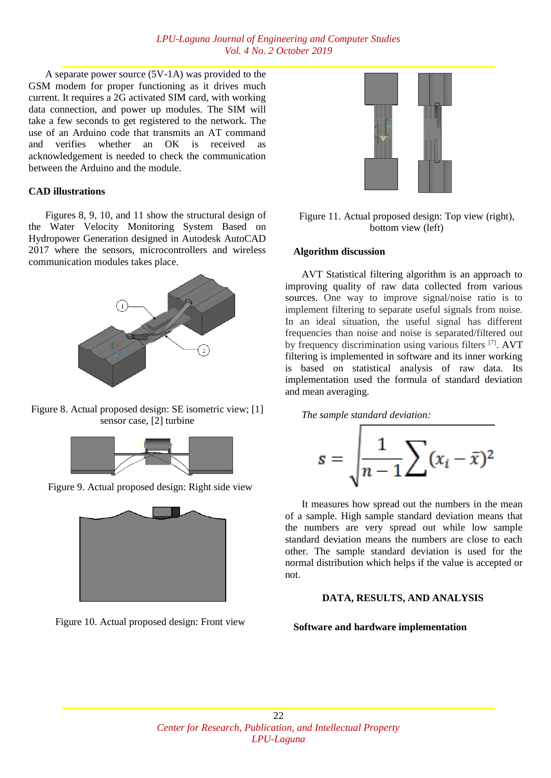A separate power source (5V-1A) was provided to the GSM modem for proper functioning as it drives much current. It requires a 2G activated SIM card, with working data connection, and power up modules. The SIM will take a few seconds to get registered to the network. The use of an Arduino code that transmits an AT command and verifies whether an OK is received as acknowledgement is needed to check the communication between the Arduino and the module.

# **CAD illustrations**

Figures 8, 9, 10, and 11 show the structural design of the Water Velocity Monitoring System Based on Hydropower Generation designed in Autodesk AutoCAD 2017 where the sensors, microcontrollers and wireless communication modules takes place.



Figure 8. Actual proposed design: SE isometric view; [1] sensor case, [2] turbine



Figure 9. Actual proposed design: Right side view



Figure 10. Actual proposed design: Front view



Figure 11. Actual proposed design: Top view (right), bottom view (left)

# **Algorithm discussion**

AVT Statistical filtering algorithm is an approach to improving quality of raw data collected from various sources. One way to improve signal/noise ratio is to implement filtering to separate useful signals from noise. In an ideal situation, the useful signal has different frequencies than noise and noise is separated/filtered out by frequency discrimination using various filters [7]. AVT filtering is implemented in software and its inner working is based on statistical analysis of raw data. Its implementation used the formula of standard deviation and mean averaging.



$$
s = \sqrt{\frac{1}{n-1}\sum (x_i - \bar{x})^2}
$$

It measures how spread out the numbers in the mean of a sample. High sample standard deviation means that the numbers are very spread out while low sample standard deviation means the numbers are close to each other. The sample standard deviation is used for the normal distribution which helps if the value is accepted or not.

# **DATA, RESULTS, AND ANALYSIS**

# **Software and hardware implementation**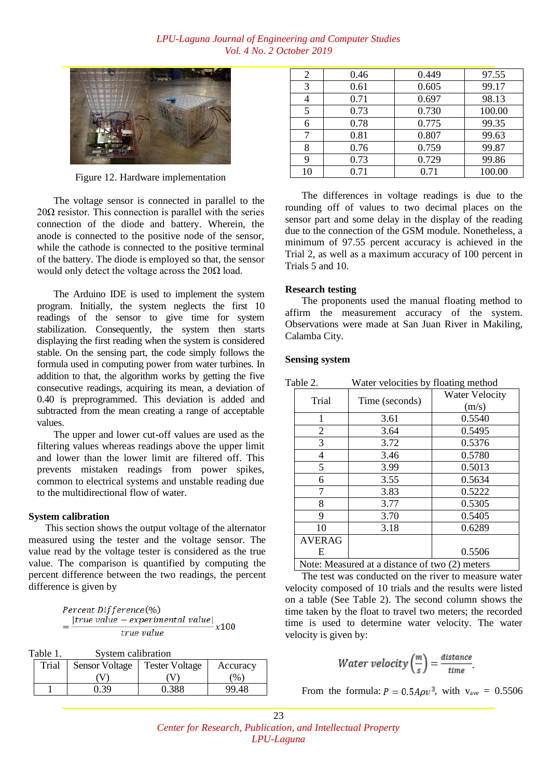

Figure 12. Hardware implementation

The voltage sensor is connected in parallel to the 20 $\Omega$  resistor. This connection is parallel with the series connection of the diode and battery. Wherein, the anode is connected to the positive node of the sensor, while the cathode is connected to the positive terminal of the battery. The diode is employed so that, the sensor would only detect the voltage across the  $20\Omega$  load.

The Arduino IDE is used to implement the system program. Initially, the system neglects the first 10 readings of the sensor to give time for system stabilization. Consequently, the system then starts displaying the first reading when the system is considered stable. On the sensing part, the code simply follows the formula used in computing power from water turbines. In addition to that, the algorithm works by getting the five consecutive readings, acquiring its mean, a deviation of 0.40 is preprogrammed. This deviation is added and subtracted from the mean creating a range of acceptable values.

The upper and lower cut-off values are used as the filtering values whereas readings above the upper limit and lower than the lower limit are filtered off. This prevents mistaken readings from power spikes, common to electrical systems and unstable reading due to the multidirectional flow of water.

## **System calibration**

This section shows the output voltage of the alternator measured using the tester and the voltage sensor. The value read by the voltage tester is considered as the true value. The comparison is quantified by computing the percent difference between the two readings, the percent difference is given by

Percent Difference(%)<br>=  $\frac{|true \text{ value} - experimental \text{ value}|}{true \text{ value}}$  x100

| Table 1. | System calibration |
|----------|--------------------|
|----------|--------------------|

| Trial | <b>Sensor Voltage</b> | <b>Tester Voltage</b> | Accuracy |
|-------|-----------------------|-----------------------|----------|
|       |                       |                       | $\%$     |
|       | በ 39                  | 0.388                 | 99.48    |

| 2  | 0.46 | 0.449 | 97.55  |
|----|------|-------|--------|
| 3  | 0.61 | 0.605 | 99.17  |
|    | 0.71 | 0.697 | 98.13  |
| 5  | 0.73 | 0.730 | 100.00 |
| 6  | 0.78 | 0.775 | 99.35  |
| 7  | 0.81 | 0.807 | 99.63  |
| 8  | 0.76 | 0.759 | 99.87  |
| 9  | 0.73 | 0.729 | 99.86  |
| 10 | 0.71 | 0.71  | 100.00 |

The differences in voltage readings is due to the rounding off of values to two decimal places on the sensor part and some delay in the display of the reading due to the connection of the GSM module. Nonetheless, a minimum of 97.55 percent accuracy is achieved in the Trial 2, as well as a maximum accuracy of 100 percent in Trials 5 and 10.

#### **Research testing**

The proponents used the manual floating method to affirm the measurement accuracy of the system. Observations were made at San Juan River in Makiling, Calamba City.

#### **Sensing system**

| Table 2. |                                                | Water velocities by floating method |                       |
|----------|------------------------------------------------|-------------------------------------|-----------------------|
|          | Trial                                          | Time (seconds)                      | <b>Water Velocity</b> |
|          |                                                |                                     | (m/s)                 |
|          |                                                | 3.61                                | 0.5540                |
|          | 2                                              | 3.64                                | 0.5495                |
|          | 3                                              | 3.72                                | 0.5376                |
|          | 4                                              | 3.46                                | 0.5780                |
|          | 5                                              | 3.99                                | 0.5013                |
|          | 6                                              | 3.55                                | 0.5634                |
|          | 7                                              | 3.83                                | 0.5222                |
|          | 8                                              | 3.77                                | 0.5305                |
|          | 9                                              | 3.70                                | 0.5405                |
|          | 10                                             | 3.18                                | 0.6289                |
|          | <b>AVERAG</b>                                  |                                     |                       |
|          | E.                                             |                                     | 0.5506                |
|          | Note: Measured at a distance of two (2) meters |                                     |                       |

The test was conducted on the river to measure water velocity composed of 10 trials and the results were listed on a table (See Table 2). The second column shows the time taken by the float to travel two meters; the recorded time is used to determine water velocity. The water velocity is given by:

Water velocity 
$$
\left(\frac{m}{s}\right) = \frac{distance}{time}
$$
.

From the formula:  $P = 0.5 A \rho v^3$ , with  $v_{\text{ave}} = 0.5506$ 

23 *Center for Research, Publication, and Intellectual Property LPU-Laguna*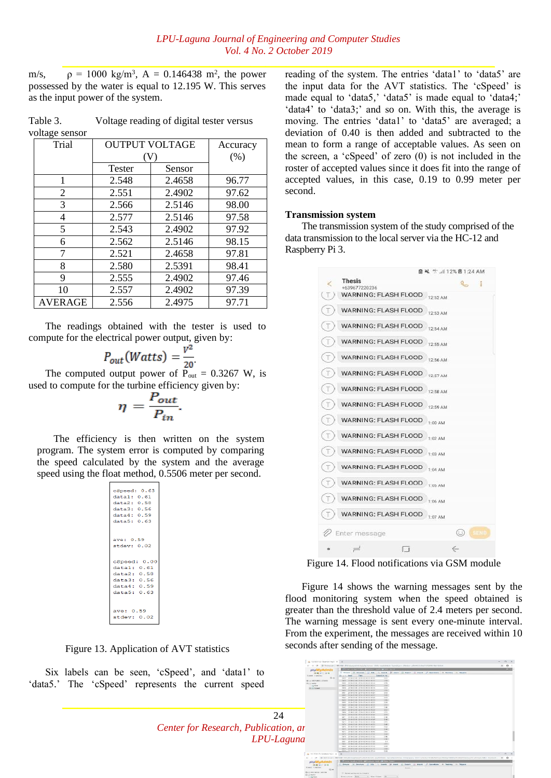m/s,  $\rho = 1000 \text{ kg/m}^3$ ,  $A = 0.146438 \text{ m}^2$ , the power possessed by the water is equal to 12.195 W. This serves as the input power of the system.

Table 3. Voltage reading of digital tester versus voltage sensor

| Trial   | <b>OUTPUT VOLTAGE</b> |        | Accuracy |
|---------|-----------------------|--------|----------|
|         |                       |        | (% )     |
|         | <b>Tester</b>         | Sensor |          |
| 1       | 2.548                 | 2.4658 | 96.77    |
| 2       | 2.551                 | 2.4902 | 97.62    |
| 3       | 2.566                 | 2.5146 | 98.00    |
| 4       | 2.577                 | 2.5146 | 97.58    |
| 5       | 2.543                 | 2.4902 | 97.92    |
| 6       | 2.562                 | 2.5146 | 98.15    |
| 7       | 2.521                 | 2.4658 | 97.81    |
| 8       | 2.580                 | 2.5391 | 98.41    |
| 9       | 2.555                 | 2.4902 | 97.46    |
| 10      | 2.557                 | 2.4902 | 97.39    |
| AVERAGE | 2.556                 | 2.4975 | 97.71    |

The readings obtained with the tester is used to compute for the electrical power output, given by:

$$
P_{out}(Watts) = \frac{V^2}{20}
$$

The computed output power of  $P_{out} = 0.3267$  W, is used to compute for the turbine efficiency given by:

$$
\eta = \frac{P_{out}}{P_{in}}
$$

The efficiency is then written on the system program. The system error is computed by comparing the speed calculated by the system and the average speed using the float method, 0.5506 meter per second.

| cSpeed: 0.63 |  |
|--------------|--|
| data1: 0.61  |  |
| data2: 0.58  |  |
| data3: 0.56  |  |
| data4: 0.59  |  |
| data5:0.63   |  |
|              |  |
|              |  |
| ave: 0.59    |  |
| stdev: 0.02  |  |
|              |  |
|              |  |
| cSpeed: 0.00 |  |
| datal: 0.61  |  |
| data2:0.58   |  |
| data3:0.56   |  |
| data4:0.59   |  |
| data5: 0.63  |  |
|              |  |
|              |  |
| ave: 0.59    |  |
| stdev: 0.02  |  |
|              |  |

Figure 13. Application of AVT statistics

Six labels can be seen, 'cSpeed', and 'data1' to 'data5.' The 'cSpeed' represents the current speed reading of the system. The entries 'data1' to 'data5' are the input data for the AVT statistics. The 'cSpeed' is made equal to 'data5,' 'data5' is made equal to 'data4;' 'data4' to 'data3;' and so on. With this, the average is moving. The entries 'data1' to 'data5' are averaged; a deviation of 0.40 is then added and subtracted to the mean to form a range of acceptable values. As seen on the screen, a 'cSpeed' of zero (0) is not included in the roster of accepted values since it does fit into the range of accepted values, in this case, 0.19 to 0.99 meter per second.

#### **Transmission system**

The transmission system of the study comprised of the data transmission to the local server via the HC-12 and Raspberry Pi 3.



Figure 14. Flood notifications via GSM module

Figure 14 shows the warning messages sent by the flood monitoring system when the speed obtained is greater than the threshold value of 2.4 meters per second. The warning message is sent every one-minute interval. From the experiment, the messages are received within 10 seconds after sending of the message.

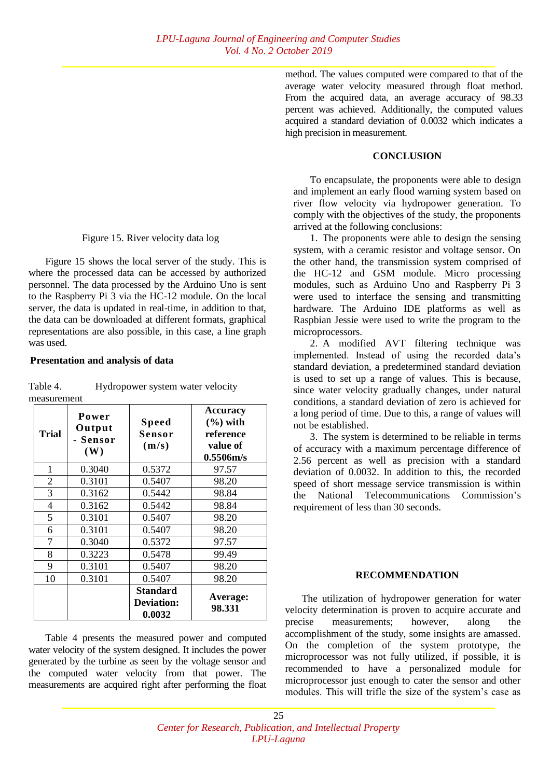## Figure 15. River velocity data log

Figure 15 shows the local server of the study. This is where the processed data can be accessed by authorized personnel. The data processed by the Arduino Uno is sent to the Raspberry Pi 3 via the HC-12 module. On the local server, the data is updated in real-time, in addition to that, the data can be downloaded at different formats, graphical representations are also possible, in this case, a line graph was used.

## **Presentation and analysis of data**

| <b>Trial</b>   | Power<br>Output<br>- Sensor<br>(W) | <b>Speed</b><br>Sensor<br>(m/s)         | <b>Accuracy</b><br>$(\% )$ with<br>reference<br>value of<br>0.5506m/s |
|----------------|------------------------------------|-----------------------------------------|-----------------------------------------------------------------------|
| 1              | 0.3040                             | 0.5372                                  | 97.57                                                                 |
| $\overline{2}$ | 0.3101                             | 0.5407                                  | 98.20                                                                 |
| 3              | 0.3162                             | 0.5442                                  | 98.84                                                                 |
| $\overline{4}$ | 0.3162                             | 0.5442                                  | 98.84                                                                 |
| 5              | 0.3101                             | 0.5407                                  | 98.20                                                                 |
| 6              | 0.3101                             | 0.5407                                  | 98.20                                                                 |
| 7              | 0.3040                             | 0.5372                                  | 97.57                                                                 |
| 8              | 0.3223                             | 0.5478                                  | 99.49                                                                 |
| 9              | 0.3101                             | 0.5407                                  | 98.20                                                                 |
| 10             | 0.3101                             | 0.5407                                  | 98.20                                                                 |
|                |                                    | Standard<br><b>Deviation:</b><br>0.0032 | Average:<br>98.331                                                    |

Table 4. Hydropower system water velocity measurement

Table 4 presents the measured power and computed water velocity of the system designed. It includes the power generated by the turbine as seen by the voltage sensor and the computed water velocity from that power. The measurements are acquired right after performing the float method. The values computed were compared to that of the average water velocity measured through float method. From the acquired data, an average accuracy of 98.33 percent was achieved. Additionally, the computed values acquired a standard deviation of 0.0032 which indicates a high precision in measurement.

## **CONCLUSION**

To encapsulate, the proponents were able to design and implement an early flood warning system based on river flow velocity via hydropower generation. To comply with the objectives of the study, the proponents arrived at the following conclusions:

1. The proponents were able to design the sensing system, with a ceramic resistor and voltage sensor. On the other hand, the transmission system comprised of the HC-12 and GSM module. Micro processing modules, such as Arduino Uno and Raspberry Pi 3 were used to interface the sensing and transmitting hardware. The Arduino IDE platforms as well as Raspbian Jessie were used to write the program to the microprocessors.

2. A modified AVT filtering technique was implemented. Instead of using the recorded data's standard deviation, a predetermined standard deviation is used to set up a range of values. This is because, since water velocity gradually changes, under natural conditions, a standard deviation of zero is achieved for a long period of time. Due to this, a range of values will not be established.

3. The system is determined to be reliable in terms of accuracy with a maximum percentage difference of 2.56 percent as well as precision with a standard deviation of 0.0032. In addition to this, the recorded speed of short message service transmission is within the National Telecommunications Commission's requirement of less than 30 seconds.

# **RECOMMENDATION**

The utilization of hydropower generation for water velocity determination is proven to acquire accurate and precise measurements; however, along the accomplishment of the study, some insights are amassed. On the completion of the system prototype, the microprocessor was not fully utilized, if possible, it is recommended to have a personalized module for microprocessor just enough to cater the sensor and other modules. This will trifle the size of the system's case as